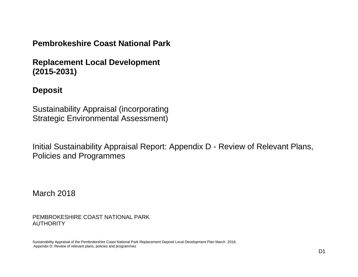## **Pembrokeshire Coast National Park**

**Replacement Local Development (2015-2031)**

## **Deposit**

Sustainability Appraisal (incorporating Strategic Environmental Assessment)

Initial Sustainability Appraisal Report: Appendix D - Review of Relevant Plans, Policies and Programmes

March 2018

PEMBROKESHIRE COAST NATIONAL PARK AUTHORITY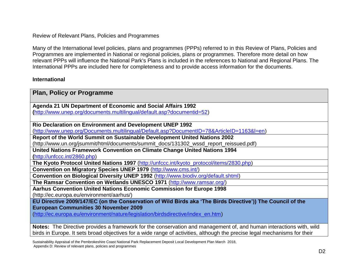Review of Relevant Plans, Policies and Programmes

Many of the International level policies, plans and programmes (PPPs) referred to in this Review of Plans, Policies and Programmes are implemented in National or regional policies, plans or programmes. Therefore more detail on how relevant PPPs will influence the National Park's Plans is included in the references to National and Regional Plans. The International PPPs are included here for completeness and to provide access information for the documents.

#### **International**

| <b>Plan, Policy or Programme</b>                                                                                          |
|---------------------------------------------------------------------------------------------------------------------------|
|                                                                                                                           |
| Agenda 21 UN Department of Economic and Social Affairs 1992                                                               |
| (http://www.unep.org/documents.multilingual/default.asp?documentid=52)                                                    |
|                                                                                                                           |
| Rio Declaration on Environment and Development UNEP 1992                                                                  |
| (http://www.unep.org/Documents.multilingual/Default.asp?DocumentID=78&ArticleID=1163&I=en)                                |
| Report of the World Summit on Sustainable Development United Nations 2002                                                 |
| (http://www.un.org/jsummit/html/documents/summit_docs/131302_wssd_report_reissued.pdf)                                    |
| United Nations Framework Convention on Climate Change United Nations 1994                                                 |
| (http://unfccc.int/2860.php)                                                                                              |
| The Kyoto Protocol United Nations 1997 (http://unfccc.int/kyoto_protocol/items/2830.php)                                  |
| Convention on Migratory Species UNEP 1979 (http://www.cms.int/)                                                           |
| Convention on Biological Diversity UNEP 1992 (http://www.biodiv.org/default.shtml)                                        |
| The Ramsar Convention on Wetlands UNESCO 1971 (http://www.ramsar.org/)                                                    |
| Aarhus Convention United Nations Economic Commission for Europe 1998                                                      |
| (http://ec.europa.eu/environment/aarhus/)                                                                                 |
| EU Directive 2009/147/EC (on the Conservation of Wild Birds aka 'The Birds Directive')) The Council of the                |
| <b>European Communities 30 November 2009</b>                                                                              |
| (http://ec.europa.eu/environment/nature/legislation/birdsdirective/index_en.htm)                                          |
|                                                                                                                           |
| Notes: The Directive provides a framework for the conservation and management of, and human interactions with, wild       |
| birds in Europe. It sets broad objectives for a wide range of activities, although the precise legal mechanisms for their |

Sustainability Appraisal of the Pembrokeshire Coast National Park Replacement Deposit Local Development Plan March 2018, Appendix D: Review of relevant plans, policies and programmes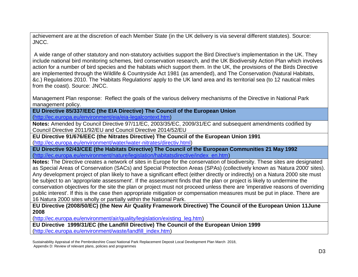achievement are at the discretion of each Member State (in the UK delivery is via several different statutes). Source: JNCC.

A wide range of other statutory and non-statutory activities support the Bird Directive's implementation in the UK. They include national bird monitoring schemes, bird conservation research, and the UK Biodiversity Action Plan which involves action for a number of bird species and the habitats which support them. In the UK, the provisions of the Birds Directive are implemented through the Wildlife & Countryside Act 1981 (as amended), and The Conservation (Natural Habitats, &c.) Regulations 2010. The 'Habitats Regulations' apply to the UK land area and its territorial sea (to 12 nautical miles from the coast). Source: JNCC.

Management Plan response: Reflect the goals of the various delivery mechanisms of the Directive in National Park management policy.

**EU Directive 85/337/EEC (the EIA Directive) The Council of the European Union** [\(http://ec.europa.eu/environment/eia/eia-legalcontext.htm\)](http://ec.europa.eu/environment/eia/eia-legalcontext.htm)

**Notes:** Amended by Council Directive 97/11/EC, 2003/35/EC, 2009/31/EC and subsequent amendments codified by Council Directive 2011/92/EU and Council Directive 2014/52/EU

**EU Directive 91/676/EEC (the Nitrates Directive) The Council of the European Union 1991** [\(http://ec.europa.eu/environment/water/water-nitrates/directiv.html\)](http://ec.europa.eu/environment/water/water-nitrates/directiv.html)

**EU Directive 92/43/CEE (the Habitats Directive) The Council of the European Communities 21 May 1992** [\(http://ec.europa.eu/environment/nature/legislation/habitatsdirective/index\\_en.htm\)](http://ec.europa.eu/environment/nature/legislation/habitatsdirective/index_en.htm)

**Notes:** The Directive creates a network of sites in Europe for the conservation of biodiversity. These sites are designated as Special Areas of Conservation (SACs) and Special Protection Areas (SPAs) (collectively known as 'Natura 2000' sites). Any development project of plan likely to have a significant effect (either directly or indirectly) on a Natura 2000 site must be subject to an 'appropriate assessment'. If the assessment finds that the plan or project is likely to undermine the conservation objectives for the site the plan or project must not proceed unless there are 'imperative reasons of overriding public interest'. If this is the case then appropriate mitigation or compensation measures must be put in place. There are 16 Natura 2000 sites wholly or partially within the National Park.

**EU Directive (2008/50/EC) (the New Air Quality Framework Directive) The Council of the European Union 11June 2008**

[\(http://ec.europa.eu/environment/air/quality/legislation/existing\\_leg.htm\)](http://ec.europa.eu/environment/air/quality/legislation/existing_leg.htm)

**EU Directive 1999/31/EC (the Landfill Directive) The Council of the European Union 1999** [\(http://ec.europa.eu/environment/waste/landfill\\_index.htm\)](http://ec.europa.eu/environment/waste/landfill_index.htm)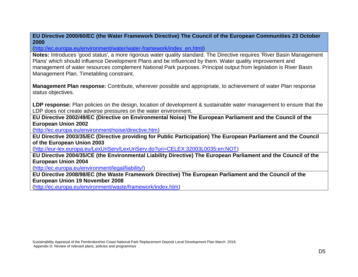**EU Directive 2000/60/EC (the Water Framework Directive) The Council of the European Communities 23 October 2000**

[\(http://ec.europa.eu/environment/water/water-framework/index\\_en.html\)](http://ec.europa.eu/environment/water/water-framework/index_en.html)

**Notes:** Introduces 'good status', a more rigorous water quality standard. The Directive requires 'River Basin Management Plans' which should influence Development Plans and be influenced by them. Water quality improvement and management of water resources complement National Park purposes. Principal output from legislation is River Basin Management Plan. Timetabling constraint.

**Management Plan response:** Contribute, wherever possible and appropriate, to achievement of water Plan response status objectives.

**LDP response:** Plan policies on the design, location of development & sustainable water management to ensure that the LDP does not create adverse pressures on the water environment.

**EU Directive 2002/49/EC (Directive on Environmental Noise) The European Parliament and the Council of the European Union 2002**

[\(http://ec.europa.eu/environment/noise/directive.htm\)](http://ec.europa.eu/environment/noise/directive.htm)

**EU Directive 2003/35/EC (Directive providing for Public Participation) The European Parliament and the Council of the European Union 2003**

[\(http://eur-lex.europa.eu/LexUriServ/LexUriServ.do?uri=CELEX:32003L0035:en:NOT\)](http://eur-lex.europa.eu/LexUriServ/LexUriServ.do?uri=CELEX:32003L0035:en:NOT)

**EU Directive 2004/35/CE (the Environmental Liability Directive) The European Parliament and the Council of the European Union 2004**

[\(http://ec.europa.eu/environment/legal/liability/\)](http://ec.europa.eu/environment/legal/liability/)

**EU Directive 2008/98/EC (the Waste Framework Directive) The European Parliament and the Council of the European Union 19 November 2008**

[\(http://ec.europa.eu/environment/waste/framework/index.htm\)](http://ec.europa.eu/environment/waste/framework/index.htm)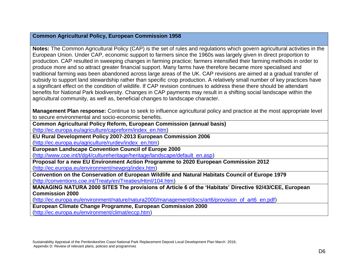### **Common Agricultural Policy, European Commission 1958**

**Notes:** The Common Agricultural Policy (CAP) is the set of rules and regulations which govern agricultural activities in the European Union. Under CAP, economic support to farmers since the 1960s was largely given in direct proportion to production. CAP resulted in sweeping changes in farming practice; farmers intensified their farming methods in order to produce more and so attract greater financial support. Many farms have therefore became more specialised and traditional farming was been abandoned across large areas of the UK. CAP revisions are aimed at a gradual transfer of subsidy to support land stewardship rather than specific crop production. A relatively small number of key practices have a significant effect on the condition of wildlife. If CAP revision continues to address these there should be attendant benefits for National Park biodiversity. Changes in CAP payments may result in a shifting social landscape within the agricultural community, as well as, beneficial changes to landscape character.

**Management Plan response:** Continue to seek to influence agricultural policy and practice at the most appropriate level to secure environmental and socio-economic benefits.

**Common Agricultural Policy Reform, European Commission (annual basis)** 

[\(http://ec.europa.eu/agriculture/capreform/index\\_en.htm\)](http://ec.europa.eu/agriculture/capreform/index_en.htm)

**EU Rural Development Policy 2007-2013 European Commission 2006**

[\(http://ec.europa.eu/agriculture/rurdev/index\\_en.htm\)](http://ec.europa.eu/agriculture/rurdev/index_en.htm)

**European Landscape Convention Council of Europe 2000**

[\(http://www.coe.int/t/dg4/cultureheritage/heritage/landscape/default\\_en.asp\)](http://www.coe.int/t/dg4/cultureheritage/heritage/landscape/default_en.asp)

**Proposal for a new EU Environment Action Programme to 2020 European Commission 2012** [\(http://ec.europa.eu/environment/newprg/index.htm\)](http://ec.europa.eu/environment/newprg/index.htm)

**Convention on the Conservation of European Wildlife and Natural Habitats Council of Europe 1979** [\(http://conventions.coe.int/Treaty/en/Treaties/Html/104.htm\)](http://conventions.coe.int/Treaty/en/Treaties/Html/104.htm)

**MANAGING NATURA 2000 SITES The provisions of Article 6 of the 'Habitats' Directive 92/43/CEE, European Commission 2000**

[\(http://ec.europa.eu/environment/nature/natura2000/management/docs/art6/provision\\_of\\_art6\\_en.pdf\)](http://ec.europa.eu/environment/nature/natura2000/management/docs/art6/provision_of_art6_en.pdf)

**European Climate Change Programme, European Commission 2000**

[\(http://ec.europa.eu/environment/climat/eccp.htm\)](http://ec.europa.eu/environment/climat/eccp.htm)

Sustainability Appraisal of the Pembrokeshire Coast National Park Replacement Deposit Local Development Plan March 2018, Appendix D: Review of relevant plans, policies and programmes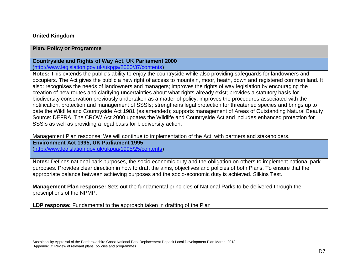#### **United Kingdom**

#### **Plan, Policy or Programme**

## **Countryside and Rights of Way Act, UK Parliament 2000**

[\(http://www.legislation.gov.uk/ukpga/2000/37/contents\)](http://www.legislation.gov.uk/ukpga/2000/37/contents)

**Notes:** This extends the public's ability to enjoy the countryside while also providing safeguards for landowners and occupiers. The Act gives the public a new right of access to mountain, moor, heath, down and registered common land. It also: recognises the needs of landowners and managers; improves the rights of way legislation by encouraging the creation of new routes and clarifying uncertainties about what rights already exist; provides a statutory basis for biodiversity conservation previously undertaken as a matter of policy; improves the procedures associated with the notification, protection and management of SSSIs; strengthens legal protection for threatened species and brings up to date the Wildlife and Countryside Act 1981 (as amended); supports management of Areas of Outstanding Natural Beauty Source: DEFRA. The CROW Act 2000 updates the Wildlife and Countryside Act and includes enhanced protection for SSSIs as well as providing a legal basis for biodiversity action.

Management Plan response: We will continue to implementation of the Act, with partners and stakeholders.

**Environment Act 1995, UK Parliament 1995**  [\(http://www.legislation.gov.uk/ukpga/1995/25/contents\)](http://www.legislation.gov.uk/ukpga/1995/25/contents)

**Notes:** Defines national park purposes, the socio economic duty and the obligation on others to implement national park purposes. Provides clear direction in how to draft the aims, objectives and policies of both Plans. To ensure that the appropriate balance between achieving purposes and the socio-economic duty is achieved. Silkins Test.

**Management Plan response:** Sets out the fundamental principles of National Parks to be delivered through the prescriptions of the NPMP.

**LDP response:** Fundamental to the approach taken in drafting of the Plan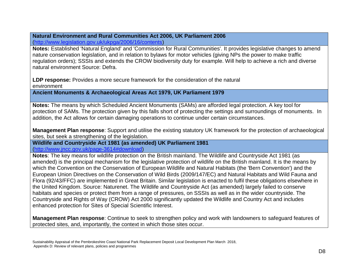#### **Natural Environment and Rural Communities Act 2006, UK Parliament 2006** [\(http://www.legislation.gov.uk/ukpga/2006/16/contents\)](http://www.legislation.gov.uk/ukpga/2006/16/contents)

**Notes:** Established 'Natural England' and 'Commission for Rural Communities'. It provides legislative changes to amend nature conservation legislation, and in relation to bylaws for motor vehicles (giving NPs the power to make traffic regulation orders); SSSIs and extends the CROW biodiversity duty for example. Will help to achieve a rich and diverse natural environment Source: Defra.

**LDP response:** Provides a more secure framework for the consideration of the natural environment

**Ancient Monuments & Archaeological Areas Act 1979, UK Parliament 1979**

**Notes:** The means by which Scheduled Ancient Monuments (SAMs) are afforded legal protection. A key tool for protection of SAMs. The protection given by this falls short of protecting the settings and surroundings of monuments. In addition, the Act allows for certain damaging operations to continue under certain circumstances.

**Management Plan response**: Support and utilise the existing statutory UK framework for the protection of archaeological sites, but seek a strengthening of the legislation.

#### **Wildlife and Countryside Act 1981 (as amended) UK Parliament 1981** [\(http://www.jncc.gov.uk/page-3614#download\)](http://www.jncc.gov.uk/page-3614#download)

**Notes**: The key means for wildlife protection on the British mainland. The Wildlife and Countryside Act 1981 (as amended) is the principal mechanism for the legislative protection of wildlife on the British mainland. It is the means by which the Convention on the Conservation of European Wildlife and Natural Habitats (the 'Bern Convention') and the European Union Directives on the Conservation of Wild Birds (2009/147/EC) and Natural Habitats and Wild Fauna and Flora (92/43/FFC) are implemented in Great Britain. Similar legislation is enacted to fulfil these obligations elsewhere in the United Kingdom. Source: Naturenet. The Wildlife and Countryside Act (as amended) largely failed to conserve habitats and species or protect them from a range of pressures, on SSSIs as well as in the wider countryside. The Countryside and Rights of Way (CROW) Act 2000 significantly updated the Wildlife and Country Act and includes enhanced protection for Sites of Special Scientific Interest.

**Management Plan response**: Continue to seek to strengthen policy and work with landowners to safeguard features of protected sites, and, importantly, the context in which those sites occur.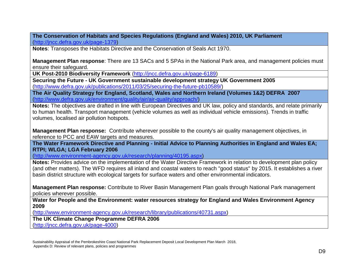**The Conservation of Habitats and Species Regulations (England and Wales) 2010, UK Parliament**  [\(http://jncc.defra.gov.uk/page-1379\)](http://jncc.defra.gov.uk/page-1379)

**Notes**: Transposes the Habitats Directive and the Conservation of Seals Act 1970.

**Management Plan response**: There are 13 SACs and 5 SPAs in the National Park area, and management policies must ensure their safeguard.

**UK Post-2010 Biodiversity Framework** [\(http://jncc.defra.gov.uk/page-6189\)](http://jncc.defra.gov.uk/page-6189)

**Securing the Future - UK Government sustainable development strategy UK Government 2005** [\(http://www.defra.gov.uk/publications/2011/03/25/securing-the-future-pb10589/\)](http://www.defra.gov.uk/publications/2011/03/25/securing-the-future-pb10589/)

**The Air Quality Strategy for England, Scotland, Wales and Northern Ireland (Volumes 1&2) DEFRA 2007** [\(http://www.defra.gov.uk/environment/quality/air/air-quality/approach/\)](http://www.defra.gov.uk/environment/quality/air/air-quality/approach/)

**Notes:** The objectives are drafted in line with European Directives and UK law, policy and standards, and relate primarily to human health. Transport management (vehicle volumes as well as individual vehicle emissions). Trends in traffic volumes, localised air pollution hotspots.

**Management Plan response:** Contribute wherever possible to the county's air quality management objectives, in reference to PCC and EAW targets and measures.

**The Water Framework Directive and Planning - Initial Advice to Planning Authorities in England and Wales EA; RTPI; WLGA; LGA February 2006**

[\(http://www.environment-agency.gov.uk/research/planning/40195.aspx\)](http://www.environment-agency.gov.uk/research/planning/40195.aspx)

**Notes:** Provides advice on the implementation of the Water Directive Framework in relation to development plan policy (and other matters). The WFD requires all inland and coastal waters to reach "good status" by 2015. It establishes a river basin district structure with ecological targets for surface waters and other environmental indicators.

**Management Plan response:** Contribute to River Basin Management Plan goals through National Park management policies wherever possible.

**Water for People and the Environment: water resources strategy for England and Wales Environment Agency 2009**

[\(http://www.environment-agency.gov.uk/research/library/publications/40731.aspx\)](http://www.environment-agency.gov.uk/research/library/publications/40731.aspx)

**The UK Climate Change Programme DEFRA 2006**

[\(http://jncc.defra.gov.uk/page-4000\)](http://jncc.defra.gov.uk/page-4000)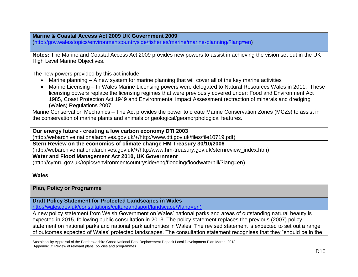**Marine & Coastal Access Act 2009 UK Government 2009**

[\(http://gov.wales/topics/environmentcountryside/fisheries/marine/marine-planning/?lang=en\)](http://gov.wales/topics/environmentcountryside/fisheries/marine/marine-planning/?lang=en)

**Notes:** The Marine and Coastal Access Act 2009 provides new powers to assist in achieving the vision set out in the UK High Level Marine Objectives.

The new powers provided by this act include:

- Marine planning A new system for marine planning that will cover all of the key marine activities
- Marine Licensing In Wales Marine Licensing powers were delegated to Natural Resources Wales in 2011. These licensing powers replace the licensing regimes that were previously covered under: Food and Environment Act 1985, Coast Protection Act 1949 and Environmental Impact Assessment (extraction of minerals and dredging (Wales) Regulations 2007.

Marine Conservation Mechanics – The Act provides the power to create Marine Conservation Zones (MCZs) to assist in the conservation of marine plants and animals or geological/geomorphological features.

**Our energy future - creating a low carbon economy DTI 2003**

(http://webarchive.nationalarchives.gov.uk/+/http://www.dti.gov.uk/files/file10719.pdf)

**Stern Review on the economics of climate change HM Treasury 30/10/2006**

(http://webarchive.nationalarchives.gov.uk/+/http:/www.hm-treasury.gov.uk/sternreview\_index.htm)

**Water and Flood Management Act 2010, UK Government**

(http://cymru.gov.uk/topics/environmentcountryside/epq/flooding/floodwaterbill/?lang=en)

#### **Wales**

#### **Plan, Policy or Programme**

**Draft Policy Statement for Protected Landscapes in Wales**

[http://wales.gov.uk/consultations/cultureandsport/landscape/?lang=en\)](http://wales.gov.uk/consultations/cultureandsport/landscape/?lang=en)

A new policy statement from Welsh Government on Wales' national parks and areas of outstanding natural beauty is expected in 2015, following public consultation in 2013. The policy statement replaces the previous (2007) policy statement on national parks and national park authorities in Wales. The revised statement is expected to set out a range of outcomes expected of Wales' protected landscapes. The consultation statement recognises that they "should be in the

Sustainability Appraisal of the Pembrokeshire Coast National Park Replacement Deposit Local Development Plan March 2018, Appendix D: Review of relevant plans, policies and programmes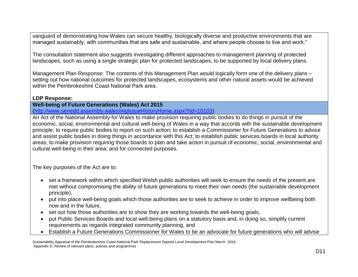vanguard of demonstrating how Wales can secure healthy, biologically diverse and productive environments that are managed sustainably, with communities that are safe and sustainable, and where people choose to live and work."

The consultation statement also suggests investigating different approaches to management planning of protected landscapes, such as using a single strategic plan for protected landscapes, to be supported by local delivery plans.

Management Plan Response: The contents of this Management Plan would logically form one of the delivery plans – setting out how national outcomes for protected landscapes, ecosystems and other natural assets would be achieved within the Pembrokeshire Coast National Park area.

### **LDP Response:**

**Well-being of Future Generations (Wales) Act 2015**

[\(http://www.senedd.assembly.wales/mgIssueHistoryHome.aspx?IId=10103\)](http://www.senedd.assembly.wales/mgIssueHistoryHome.aspx?IId=10103)

An Act of the National Assembly for Wales to make provision requiring public bodies to do things in pursuit of the economic, social, environmental and cultural well-being of Wales in a way that accords with the sustainable development principle; to require public bodies to report on such action; to establish a Commissioner for Future Generations to advise and assist public bodies in doing things in accordance with this Act; to establish public services boards in local authority areas; to make provision requiring those boards to plan and take action in pursuit of economic, social, environmental and cultural well-being in their area; and for connected purposes.

The key purposes of the Act are to:

- set a framework within which specified Welsh public authorities will seek to ensure the needs of the present are met without compromising the ability of future generations to meet their own needs (the sustainable development principle),
- put into place well-being goals which those authorities are to seek to achieve in order to improve wellbeing both now and in the future,
- set out how those authorities are to show they are working towards the well-being goals,
- put Public Services Boards and local well-being plans on a statutory basis and, in doing so, simplify current requirements as regards integrated community planning, and
- Establish a Future Generations Commissioner for Wales to be an advocate for future generations who will advise

Sustainability Appraisal of the Pembrokeshire Coast National Park Replacement Deposit Local Development Plan March 2018, Appendix D: Review of relevant plans, policies and programmes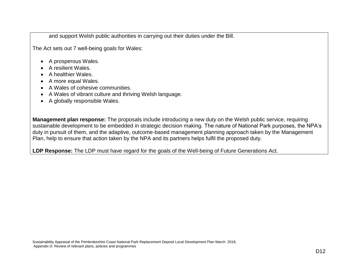and support Welsh public authorities in carrying out their duties under the Bill.

The Act sets out 7 well-being goals for Wales:

- A prosperous Wales.
- A resilient Wales.
- A healthier Wales.
- A more equal Wales.
- A Wales of cohesive communities.
- A Wales of vibrant culture and thriving Welsh language.
- A globally responsible Wales.

**Management plan response:** The proposals include introducing a new duty on the Welsh public service, requiring sustainable development to be embedded in strategic decision making. The nature of National Park purposes, the NPA's duty in pursuit of them, and the adaptive, outcome-based management planning approach taken by the Management Plan, help to ensure that action taken by the NPA and its partners helps fulfil the proposed duty.

**LDP Response:** The LDP must have regard for the goals of the Well-being of Future Generations Act.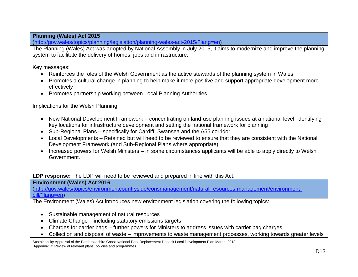## **Planning (Wales) Act 2015**

[\(http://gov.wales/topics/planning/legislation/planning-wales-act-2015/?lang=en\)](http://gov.wales/topics/planning/legislation/planning-wales-act-2015/?lang=en)

The Planning (Wales) Act was adopted by National Assembly in July 2015, it aims to modernize and improve the planning system to facilitate the delivery of homes, jobs and infrastructure.

Key messages:

- Reinforces the roles of the Welsh Government as the active stewards of the planning system in Wales
- Promotes a cultural change in planning to help make it more positive and support appropriate development more effectively
- Promotes partnership working between Local Planning Authorities

Implications for the Welsh Planning:

- New National Development Framework concentrating on land-use planning issues at a national level, identifying key locations for infrastructure development and setting the national framework for planning
- Sub-Regional Plans specifically for Cardiff, Swansea and the A55 corridor.
- Local Developments Retained but will need to be reviewed to ensure that they are consistent with the National Development Framework (and Sub-Regional Plans where appropriate)
- Increased powers for Welsh Ministers in some circumstances applicants will be able to apply directly to Welsh Government.

**LDP response:** The LDP will need to be reviewed and prepared in line with this Act.

#### **Environment (Wales) Act 2016**

[\(http://gov.wales/topics/environmentcountryside/consmanagement/natural-resources-management/environment](http://gov.wales/topics/environmentcountryside/consmanagement/natural-resources-management/environment-bill/?lang=en)[bill/?lang=en\)](http://gov.wales/topics/environmentcountryside/consmanagement/natural-resources-management/environment-bill/?lang=en)

The Environment (Wales) Act introduces new environment legislation covering the following topics:

- Sustainable management of natural resources
- Climate Change including statutory emissions targets
- Charges for carrier bags further powers for Ministers to address issues with carrier bag charges.
- Collection and disposal of waste improvements to waste management processes, working towards greater levels

Sustainability Appraisal of the Pembrokeshire Coast National Park Replacement Deposit Local Development Plan March 2018, Appendix D: Review of relevant plans, policies and programmes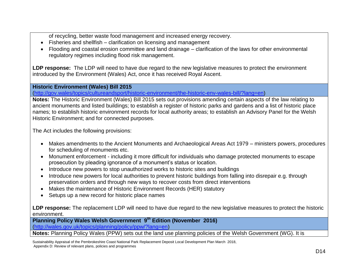of recycling, better waste food management and increased energy recovery.

- Fisheries and shellfish clarification on licensing and management
- Flooding and coastal erosion committee and land drainage clarification of the laws for other environmental regulatory regimes including flood risk management.

**LDP response:** The LDP will need to have due regard to the new legislative measures to protect the environment introduced by the Environment (Wales) Act, once it has received Royal Ascent.

#### **Historic Environment (Wales) Bill 2015**

[\(http://gov.wales/topics/cultureandsport/historic-environment/the-historic-env-wales-bill/?lang=en\)](http://gov.wales/topics/cultureandsport/historic-environment/the-historic-env-wales-bill/?lang=en)

**Notes:** The Historic Environment (Wales) Bill 2015 sets out provisions amending certain aspects of the law relating to ancient monuments and listed buildings; to establish a register of historic parks and gardens and a list of historic place names; to establish historic environment records for local authority areas; to establish an Advisory Panel for the Welsh Historic Environment; and for connected purposes.

The Act includes the following provisions:

- Makes amendments to the Ancient Monuments and Archaeological Areas Act 1979 ministers powers, procedures for scheduling of monuments etc.
- Monument enforcement including it more difficult for individuals who damage protected monuments to escape prosecution by pleading ignorance of a monument's status or location.
- Introduce new powers to stop unauthorized works to historic sites and buildings
- Introduce new powers for local authorities to prevent historic buildings from falling into disrepair e.g. through preservation orders and through new ways to recover costs from direct interventions
- Makes the maintenance of Historic Environment Records (HER) statutory
- Setups up a new record for historic place names

**LDP response:** The replacement LDP will need to have due regard to the new legislative measures to protect the historic environment.

**Planning Policy Wales Welsh Government 9 th Edition (November 2016)**

[\(http://wales.gov.uk/topics/planning/policy/ppw/?lang=en\)](http://wales.gov.uk/topics/planning/policy/ppw/?lang=en)

**Notes:** Planning Policy Wales (PPW) sets out the land use planning policies of the Welsh Government (WG). It is

Sustainability Appraisal of the Pembrokeshire Coast National Park Replacement Deposit Local Development Plan March 2018, Appendix D: Review of relevant plans, policies and programmes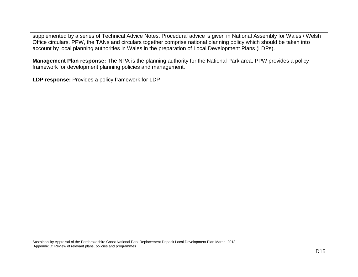supplemented by a series of Technical Advice Notes. Procedural advice is given in National Assembly for Wales / Welsh Office circulars. PPW, the TANs and circulars together comprise national planning policy which should be taken into account by local planning authorities in Wales in the preparation of Local Development Plans (LDPs).

**Management Plan response:** The NPA is the planning authority for the National Park area. PPW provides a policy framework for development planning policies and management.

**LDP response:** Provides a policy framework for LDP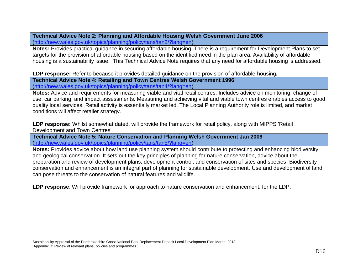**Technical Advice Note 2: Planning and Affordable Housing Welsh Government June 2006** [\(http://new.wales.gov.uk/topics/planning/policy/tans/tan2/?lang=en\)](http://new.wales.gov.uk/topics/planning/policy/tans/tan2/?lang=en)

**Notes:** Provides practical guidance in securing affordable housing. There is a requirement for Development Plans to set targets for the provision of affordable housing based on the identified need in the plan area. Availability of affordable housing is a sustainability issue. This Technical Advice Note requires that any need for affordable housing is addressed.

**LDP response:** Refer to because it provides detailed guidance on the provision of affordable housing**.**

**Technical Advice Note 4: Retailing and Town Centres Welsh Government 1996** [\(http://new.wales.gov.uk/topics/planning/policy/tans/tan4/?lang=en\)](http://new.wales.gov.uk/topics/planning/policy/tans/tan4/?lang=en)

**Notes:** Advice and requirements for measuring viable and vital retail centres. Includes advice on monitoring, change of use, car parking, and impact assessments. Measuring and achieving vital and viable town centres enables access to good quality local services. Retail activity is essentially market led. The Local Planning Authority role is limited, and market conditions will affect retailer strategy.

**LDP response:** Whilst somewhat dated, will provide the framework for retail policy, along with MIPPS 'Retail Development and Town Centres'.

**Technical Advice Note 5: Nature Conservation and Planning Welsh Government Jan 2009** [\(http://new.wales.gov.uk/topics/planning/policy/tans/tan5/?lang=en\)](http://new.wales.gov.uk/topics/planning/policy/tans/tan5/?lang=en)

**Notes:** Provides advice about how land use planning system should contribute to protecting and enhancing biodiversity and geological conservation. It sets out the key principles of planning for nature conservation, advice about the preparation and review of development plans, development control, and conservation of sites and species. Biodiversity conservation and enhancement is an integral part of planning for sustainable development. Use and development of land can pose threats to the conservation of natural features and wildlife.

**LDP response**: Will provide framework for approach to nature conservation and enhancement, for the LDP.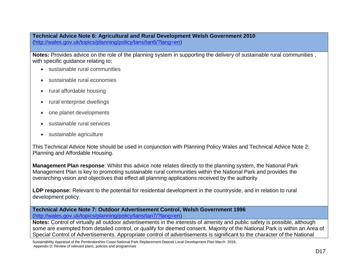**Technical Advice Note 6: Agricultural and Rural Development Welsh Government 2010** [\(http://wales.gov.uk/topics/planning/policy/tans/tan6/?lang=en\)](http://wales.gov.uk/topics/planning/policy/tans/tan6/?lang=en)

**Notes:** Provides advice on the role of the planning system in supporting the delivery of sustainable rural communities , with specific guidance relating to;

- sustainable rural communities
- sustainable rural economies
- rural affordable housing
- rural enterprise dwellings
- one planet developments
- sustainable rural services
- sustainable agriculture

This Technical Advice Note should be used in conjunction with Planning Policy Wales and Technical Advice Note 2: Planning and Affordable Housing.

**Management Plan response**: Whilst this advice note relates directly to the planning system, the National Park Management Plan is key to promoting sustainable rural communities within the National Park and provides the overarching vision and objectives that effect all planning applications received by the authority

LDP response: Relevant to the potential for residential development in the countryside, and in relation to rural development policy.

**Technical Advice Note 7: Outdoor Advertisement Control, Welsh Government 1996** [\(http://wales.gov.uk/topics/planning/policy/tans/tan7/?lang=en\)](http://wales.gov.uk/topics/planning/policy/tans/tan7/?lang=en)

**Notes:** Control of virtually all outdoor advertisements in the interests of amenity and public safety is possible, although some are exempted from detailed control, or qualify for deemed consent. Majority of the National Park is within an Area of Special Control of Advertisements. Appropriate control of advertisements is significant to the character of the National

Sustainability Appraisal of the Pembrokeshire Coast National Park Replacement Deposit Local Development Plan March 2018, Appendix D: Review of relevant plans, policies and programmes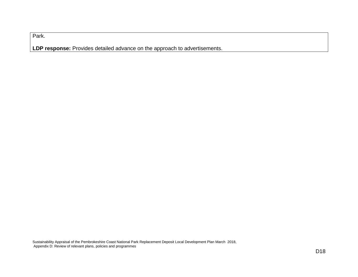Park.

**LDP response:** Provides detailed advance on the approach to advertisements.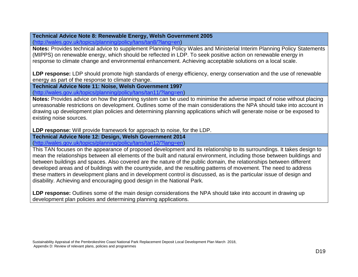## **Technical Advice Note 8: Renewable Energy, Welsh Government 2005**

[\(http://wales.gov.uk/topics/planning/policy/tans/tan8/?lang=en\)](http://wales.gov.uk/topics/planning/policy/tans/tan8/?lang=en)

**Notes:** Provides technical advice to supplement Planning Policy Wales and Ministerial Interim Planning Policy Statements (MIPPS) on renewable energy, which should be reflected in LDP. To seek positive action on renewable energy in response to climate change and environmental enhancement. Achieving acceptable solutions on a local scale.

**LDP response:** LDP should promote high standards of energy efficiency, energy conservation and the use of renewable energy as part of the response to climate change.

**Technical Advice Note 11: Noise, Welsh Government 1997**

[\(http://wales.gov.uk/topics/planning/policy/tans/tan11/?lang=en\)](http://wales.gov.uk/topics/planning/policy/tans/tan11/?lang=en)

**Notes:** Provides advice on how the planning system can be used to minimise the adverse impact of noise without placing unreasonable restrictions on development. Outlines some of the main considerations the NPA should take into account in drawing up development plan policies and determining planning applications which will generate noise or be exposed to existing noise sources.

**LDP response:** Will provide framework for approach to noise, for the LDP.

**Technical Advice Note 12: Design, Welsh Government 2014** [\(http://wales.gov.uk/topics/planning/policy/tans/tan12/?lang=en\)](http://wales.gov.uk/topics/planning/policy/tans/tan12/?lang=en)

This TAN focuses on the appearance of proposed development and its relationship to its surroundings. It takes design to mean the relationships between all elements of the built and natural environment, including those between buildings and between buildings and spaces. Also covered are the nature of the public domain, the relationships between different developed areas and of buildings with the countryside, and the resulting patterns of movement. The need to address these matters in development plans and in development control is discussed, as is the particular issue of design and disability. Achieving and encouraging good design in the National Park.

**LDP response:** Outlines some of the main design considerations the NPA should take into account in drawing up development plan policies and determining planning applications.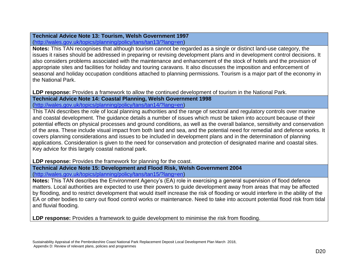## **Technical Advice Note 13: Tourism, Welsh Government 1997**

[\(http://wales.gov.uk/topics/planning/policy/tans/tan13/?lang=en\)](http://wales.gov.uk/topics/planning/policy/tans/tan13/?lang=en)

**Notes:** This TAN recognises that although tourism cannot be regarded as a single or distinct land-use category, the issues it raises should be addressed in preparing or revising development plans and in development control decisions. It also considers problems associated with the maintenance and enhancement of the stock of hotels and the provision of appropriate sites and facilities for holiday and touring caravans. It also discusses the imposition and enforcement of seasonal and holiday occupation conditions attached to planning permissions. Tourism is a major part of the economy in the National Park.

**LDP response:** Provides a framework to allow the continued development of tourism in the National Park. **Technical Advice Note 14: Coastal Planning, Welsh Government 1998** [\(http://wales.gov.uk/topics/planning/policy/tans/tan14/?lang=en\)](http://wales.gov.uk/topics/planning/policy/tans/tan14/?lang=en)

This TAN describes the role of local planning authorities and the range of sectoral and regulatory controls over marine and coastal development. The guidance details a number of issues which must be taken into account because of their potential effects on physical processes and ground conditions, as well as the overall balance, sensitivity and conservation of the area. These include visual impact from both land and sea, and the potential need for remedial and defence works. It covers planning considerations and issues to be included in development plans and in the determination of planning applications. Consideration is given to the need for conservation and protection of designated marine and coastal sites. Key advice for this largely coastal national park.

**LDP response:** Provides the framework for planning for the coast.

**Technical Advice Note 15: Development and Flood Risk, Welsh Government 2004** [\(http://wales.gov.uk/topics/planning/policy/tans/tan15/?lang=en\)](http://wales.gov.uk/topics/planning/policy/tans/tan15/?lang=en)

**Notes:** This TAN describes the Environment Agency's (EA) role in exercising a general supervision of flood defence matters. Local authorities are expected to use their powers to guide development away from areas that may be affected by flooding, and to restrict development that would itself increase the risk of flooding or would interfere in the ability of the EA or other bodies to carry out flood control works or maintenance. Need to take into account potential flood risk from tidal and fluvial flooding.

**LDP response:** Provides a framework to guide development to minimise the risk from flooding.

Sustainability Appraisal of the Pembrokeshire Coast National Park Replacement Deposit Local Development Plan March 2018, Appendix D: Review of relevant plans, policies and programmes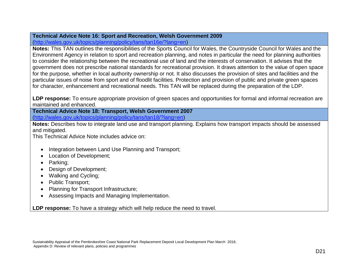# **Technical Advice Note 16: Sport and Recreation, Welsh Government 2009**

[\(http://wales.gov.uk/topics/planning/policy/tans/tan16e/?lang=en\)](http://wales.gov.uk/topics/planning/policy/tans/tan16e/?lang=en)

**Notes:** This TAN outlines the responsibilities of the Sports Council for Wales, the Countryside Council for Wales and the Environment Agency in relation to sport and recreation planning, and notes in particular the need for planning authorities to consider the relationship between the recreational use of land and the interests of conservation. It advises that the government does not prescribe national standards for recreational provision. It draws attention to the value of open space for the purpose, whether in local authority ownership or not. It also discusses the provision of sites and facilities and the particular issues of noise from sport and of floodlit facilities. Protection and provision of public and private green spaces for character, enhancement and recreational needs. This TAN will be replaced during the preparation of the LDP.

**LDP response:** To ensure appropriate provision of green spaces and opportunities for formal and informal recreation are maintained and enhanced.

**Technical Advice Note 18: Transport, Welsh Government 2007** [\(http://wales.gov.uk/topics/planning/policy/tans/tan18/?lang=en\)](http://wales.gov.uk/topics/planning/policy/tans/tan18/?lang=en)

**Notes:** Describes how to integrate land use and transport planning. Explains how transport impacts should be assessed and mitigated.

This Technical Advice Note includes advice on:

- Integration between Land Use Planning and Transport;
- Location of Development;
- Parking;
- Design of Development;
- Walking and Cycling;
- Public Transport;
- Planning for Transport Infrastructure;
- Assessing Impacts and Managing Implementation.

**LDP response:** To have a strategy which will help reduce the need to travel.

Sustainability Appraisal of the Pembrokeshire Coast National Park Replacement Deposit Local Development Plan March 2018, Appendix D: Review of relevant plans, policies and programmes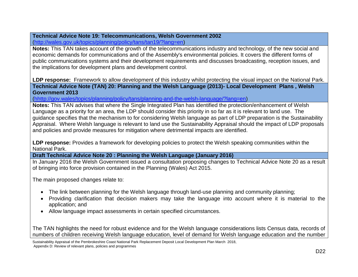#### **Technical Advice Note 19: Telecommunications, Welsh Government 2002** [\(http://wales.gov.uk/topics/planning/policy/tans/tan19/?lang=en\)](http://wales.gov.uk/topics/planning/policy/tans/tan19/?lang=en)

**Notes:** This TAN takes account of the growth of the telecommunications industry and technology, of the new social and economic demands for communications and of the Assembly's environmental policies. It covers the different forms of public communications systems and their development requirements and discusses broadcasting, reception issues, and the implications for development plans and development control.

**LDP response:** Framework to allow development of this industry whilst protecting the visual impact on the National Park. **Technical Advice Note (TAN) 20: Planning and the Welsh Language (2013)- Local Development Plans , Welsh Government 2013**

[\(hhttp://gov.wales/topics/planning/policy/tans/planning-and-the-welsh-language/?lang=en\)](http://wales.gov.uk/topics/planning/policy/tans/tan20/?lang=en)

**Notes:** This TAN advises that where the Single Integrated Plan has identified the protection/enhancement of Welsh Language as a priority for an area, the LDP should consider this priority in so far as it is relevant to land use. The guidance specifies that the mechanism to for considering Welsh language as part of LDP preparation is the Sustainability Appraisal. Where Welsh language is relevant to land use the Sustainability Appraisal should the impact of LDP proposals and policies and provide measures for mitigation where detrimental impacts are identified.

**LDP response:** Provides a framework for developing policies to protect the Welsh speaking communities within the National Park.

**Draft Technical Advice Note 20 : Planning the Welsh Language (January 2016)**

In January 2016 the Welsh Government issued a consultation proposing changes to Technical Advice Note 20 as a result of bringing into force provision contained in the Planning (Wales) Act 2015.

The main proposed changes relate to:

- The link between planning for the Welsh language through land-use planning and community planning;
- Providing clarification that decision makers may take the language into account where it is material to the application; and
- Allow language impact assessments in certain specified circumstances.

The TAN highlights the need for robust evidence and for the Welsh language considerations lists Census data, records of numbers of children receiving Welsh language education, level of demand for Welsh language education and the number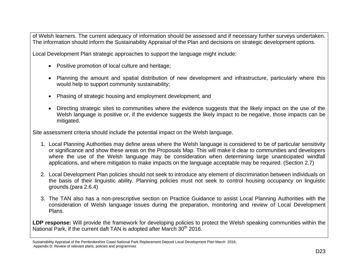of Welsh learners. The current adequacy of information should be assessed and if necessary further surveys undertaken. The information should inform the Sustainability Appraisal of the Plan and decisions on strategic development options.

Local Development Plan strategic approaches to support the language might include:

- Positive promotion of local culture and heritage;
- Planning the amount and spatial distribution of new development and infrastructure, particularly where this would help to support community sustainability;
- Phasing of strategic housing and employment development; and
- Directing strategic sites to communities where the evidence suggests that the likely impact on the use of the Welsh language is positive or, if the evidence suggests the likely impact to be negative, those impacts can be mitigated.

Site assessment criteria should include the potential impact on the Welsh language.

- 1. Local Planning Authorities may define areas where the Welsh language is considered to be of particular sensitivity or significance and show these areas on the Proposals Map. This will make it clear to communities and developers where the use of the Welsh language may be consideration when determining large unanticipated windfall applications, and where mitigation to make impacts on the language acceptable may be required. (Section 2.7)
- 2. Local Development Plan policies should not seek to introduce any element of discrimination between individuals on the basis of their linguistic ability. Planning policies must not seek to control housing occupancy on linguistic grounds.(para 2.6.4)
- 3. The TAN also has a non-prescriptive section on Practice Guidance to assist Local Planning Authorities with the consideration of Welsh language issues during the preparation, monitoring and review of Local Development Plans.

**LDP response:** Will provide the framework for developing policies to protect the Welsh speaking communities within the National Park, if the current daft TAN is adopted after March  $30<sup>th</sup>$  2016.

Sustainability Appraisal of the Pembrokeshire Coast National Park Replacement Deposit Local Development Plan March 2018, Appendix D: Review of relevant plans, policies and programmes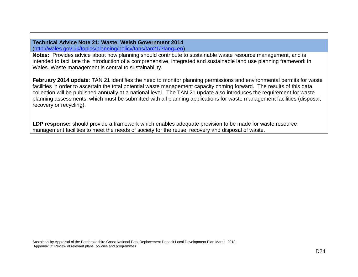**Technical Advice Note 21: Waste, Welsh Government 2014** [\(http://wales.gov.uk/topics/planning/policy/tans/tan21/?lang=en\)](http://wales.gov.uk/topics/planning/policy/tans/tan21/?lang=en)

**Notes:** Provides advice about how planning should contribute to sustainable waste resource management, and is intended to facilitate the introduction of a comprehensive, integrated and sustainable land use planning framework in Wales. Waste management is central to sustainability.

**February 2014 update**: TAN 21 identifies the need to monitor planning permissions and environmental permits for waste facilities in order to ascertain the total potential waste management capacity coming forward. The results of this data collection will be published annually at a national level. The TAN 21 update also introduces the requirement for waste planning assessments, which must be submitted with all planning applications for waste management facilities (disposal, recovery or recycling).

**LDP response:** should provide a framework which enables adequate provision to be made for waste resource management facilities to meet the needs of society for the reuse, recovery and disposal of waste.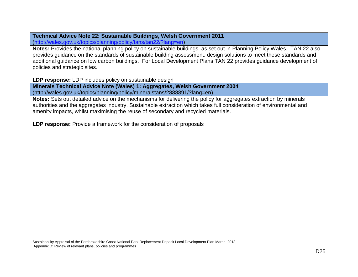**Technical Advice Note 22: Sustainable Buildings, Welsh Government 2011** [\(http://wales.gov.uk/topics/planning/policy/tans/tan22/?lang=en\)](http://wales.gov.uk/topics/planning/policy/tans/tan22/?lang=en)

**Notes:** Provides the national planning policy on sustainable buildings, as set out in Planning Policy Wales. TAN 22 also provides guidance on the standards of sustainable building assessment, design solutions to meet these standards and additional guidance on low carbon buildings. For Local Development Plans TAN 22 provides guidance development of policies and strategic sites.

**LDP response:** LDP includes policy on sustainable design

**Minerals Technical Advice Note (Wales) 1: Aggregates, Welsh Government 2004** (http://wales.gov.uk/topics/planning/policy/mineralstans/2888891/?lang=en)

**Notes:** Sets out detailed advice on the mechanisms for delivering the policy for aggregates extraction by minerals authorities and the aggregates industry. Sustainable extraction which takes full consideration of environmental and amenity impacts, whilst maximising the reuse of secondary and recycled materials.

**LDP response:** Provide a framework for the consideration of proposals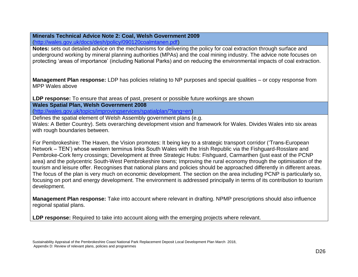## **Minerals Technical Advice Note 2: Coal, Welsh Government 2009**

[\(http://wales.gov.uk/docs/desh/policy/090120coalmtanen.pdf\)](http://wales.gov.uk/docs/desh/policy/090120coalmtanen.pdf)

**Notes:** sets out detailed advice on the mechanisms for delivering the policy for coal extraction through surface and underground working by mineral planning authorities (MPAs) and the coal mining industry. The advice note focuses on protecting 'areas of importance' (including National Parks) and on reducing the environmental impacts of coal extraction.

**Management Plan response:** LDP has policies relating to NP purposes and special qualities – or copy response from MPP Wales above

**LDP response:** To ensure that areas of past, present or possible future workings are shown

**Wales Spatial Plan, Welsh Government 2008**

[\(http://wales.gov.uk/topics/improvingservices/spatialplan/?lang=en\)](http://wales.gov.uk/topics/improvingservices/spatialplan/?lang=en)

Defines the spatial element of Welsh Assembly government plans (e.g. Wales: A Better Country). Sets overarching development vision and framework for Wales. Divides Wales into six areas with rough boundaries between.

For Pembrokeshire: The Haven, the Vision promotes: It being key to a strategic transport corridor ('Trans-European Network – TEN') whose western terminus links South Wales with the Irish Republic via the Fishguard-Rosslare and Pembroke-Cork ferry crossings; Development at three Strategic Hubs: Fishguard, Carmarthen (just east of the PCNP area) and the polycentric South-West Pembrokeshire towns; Improving the rural economy through the optimisation of the tourism and leisure offer. Recognises that national plans and policies should be approached differently in different areas. The focus of the plan is very much on economic development. The section on the area including PCNP is particularly so, focusing on port and energy development. The environment is addressed principally in terms of its contribution to tourism development.

**Management Plan response:** Take into account where relevant in drafting. NPMP prescriptions should also influence regional spatial plans.

LDP response: Required to take into account along with the emerging projects where relevant.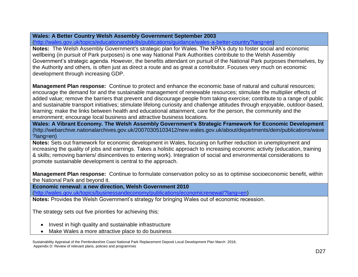## **Wales: A Better Country Welsh Assembly Government September 2003**

[\(http://wales.gov.uk/topics/educationandskills/publications/guidance/wales-a-better-country?lang=en\)](http://wales.gov.uk/topics/educationandskills/publications/guidance/wales-a-better-country?lang=en)

**Notes:** The Welsh Assembly Government's strategic plan for Wales. The NPA's duty to foster social and economic wellbeing (in pursuit of Park purposes) is one way National Park Authorities contribute to the Welsh Assembly Government's strategic agenda. However, the benefits attendant on pursuit of the National Park purposes themselves, by the Authority and others, is often just as direct a route and as great a contributor. Focuses very much on economic development through increasing GDP.

**Management Plan response:** Continue to protect and enhance the economic base of natural and cultural resources; encourage the demand for and the sustainable management of renewable resources; stimulate the multiplier effects of added value; remove the barriers that prevent and discourage people from taking exercise; contribute to a range of public and sustainable transport initiatives; stimulate lifelong curiosity and challenge attitudes through enjoyable, outdoor-based, learning; make the links between health and educational attainment, care for the person, the community and the environment; encourage local business and attractive business locations.

**Wales: A Vibrant Economy. The Welsh Assembly Government's Strategic Framework for Economic Development** (http://webarchive.nationalarchives.gov.uk/20070305103412/new.wales.gov.uk/about/departments/dein/publications/wave ?lang=en)

**Notes:** Sets out framework for economic development in Wales, focusing on further reduction in unemployment and increasing the quality of jobs and earnings. Takes a holistic approach to increasing economic activity (education, training & skills; removing barriers/ disincentives to entering work). Integration of social and environmental considerations to promote sustainable development is central to the approach.

**Management Plan response:** Continue to formulate conservation policy so as to optimise socioeconomic benefit, within the National Park and beyond it.

**Economic renewal: a new direction, Welsh Government 2010** 

[\(http://wales.gov.uk/topics/businessandeconomy/publications/economicrenewal/?lang=en\)](http://wales.gov.uk/topics/businessandeconomy/publications/economicrenewal/?lang=en)

**Notes:** Provides the Welsh Government's strategy for bringing Wales out of economic recession.

The strategy sets out five priorities for achieving this:

- Invest in high quality and sustainable infrastructure
- Make Wales a more attractive place to do business

Sustainability Appraisal of the Pembrokeshire Coast National Park Replacement Deposit Local Development Plan March 2018, Appendix D: Review of relevant plans, policies and programmes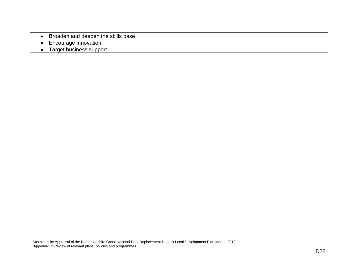- Broaden and deepen the skills base
- Encourage innovation
- Target business support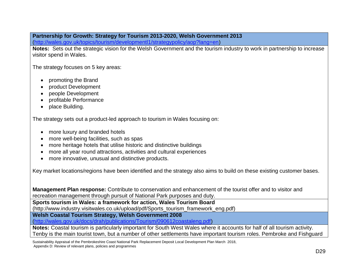# **Partnership for Growth: Strategy for Tourism 2013-2020, Welsh Government 2013**

[\(http://wales.gov.uk/topics/tourism/developmentl1/strategypolicy/aop?lang=en\)](http://wales.gov.uk/topics/tourism/developmentl1/strategypolicy/aop?lang=en)

Notes: Sets out the strategic vision for the Welsh Government and the tourism industry to work in partnership to increase visitor spend in Wales.

The strategy focuses on 5 key areas:

- promoting the Brand
- product Development
- people Development
- profitable Performance
- place Building.

The strategy sets out a product-led approach to tourism in Wales focusing on:

- more luxury and branded hotels
- more well-being facilities, such as spas
- more heritage hotels that utilise historic and distinctive buildings
- more all year round attractions, activities and cultural experiences
- more innovative, unusual and distinctive products.

Key market locations/regions have been identified and the strategy also aims to build on these existing customer bases.

**Management Plan response:** Contribute to conservation and enhancement of the tourist offer and to visitor and recreation management through pursuit of National Park purposes and duty.

**Sports tourism in Wales: a framework for action, Wales Tourism Board** 

(http://www.industry.visitwales.co.uk/upload/pdf/Sports\_tourism\_framework\_eng.pdf)

**Welsh Coastal Tourism Strategy, Welsh Government 2008**

[\(http://wales.gov.uk/docs/drah/publications/Tourism/090612coastaleng.pdf\)](http://wales.gov.uk/docs/drah/publications/Tourism/090612coastaleng.pdf)

**Notes:** Coastal tourism is particularly important for South West Wales where it accounts for half of all tourism activity. Tenby is the main tourist town, but a number of other settlements have important tourism roles. Pembroke and Fishguard

Sustainability Appraisal of the Pembrokeshire Coast National Park Replacement Deposit Local Development Plan March 2018,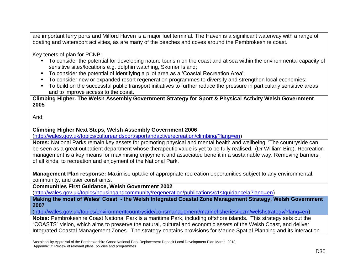are important ferry ports and Milford Haven is a major fuel terminal. The Haven is a significant waterway with a range of boating and watersport activities, as are many of the beaches and coves around the Pembrokeshire coast.

Key tenets of plan for PCNP:

- To consider the potential for developing nature tourism on the coast and at sea within the environmental capacity of sensitive sites/locations e.g. dolphin watching, Skomer Island;
- To consider the potential of identifying a pilot area as a 'Coastal Recreation Area';
- To consider new or expanded resort regeneration programmes to diversify and strengthen local economies;
- To build on the successful public transport initiatives to further reduce the pressure in particularly sensitive areas and to improve access to the coast.

**Climbing Higher. The Welsh Assembly Government Strategy for Sport & Physical Activity Welsh Government 2005**

And;

#### **Climbing Higher Next Steps, Welsh Assembly Government 2006**

[\(http://wales.gov.uk/topics/cultureandsport/sportandactiverecreation/climbing/?lang=en\)](http://wales.gov.uk/topics/cultureandsport/sportandactiverecreation/climbing/?lang=en)

**Notes:** National Parks remain key assets for promoting physical and mental health and wellbeing. 'The countryside can be seen as a great outpatient department whose therapeutic value is yet to be fully realised.' (Dr William Bird). Recreation management is a key means for maximising enjoyment and associated benefit in a sustainable way. Removing barriers, of all kinds, to recreation and enjoyment of the National Park.

**Management Plan response:** Maximise uptake of appropriate recreation opportunities subject to any environmental, community, and user constraints.

**Communities First Guidance, Welsh Government 2002** 

[\(http://wales.gov.uk/topics/housingandcommunity/regeneration/publications/c1stguidancela?lang=en\)](http://wales.gov.uk/topics/housingandcommunity/regeneration/publications/c1stguidancela?lang=en)

**Making the most of Wales' Coast - the Welsh Integrated Coastal Zone Management Strategy, Welsh Government 2007**

[\(http://wales.gov.uk/topics/environmentcountryside/consmanagement/marinefisheries/iczm/welshstrategy/?lang=en\)](http://wales.gov.uk/topics/environmentcountryside/consmanagement/marinefisheries/iczm/welshstrategy/?lang=en)

**Notes:** Pembrokeshire Coast National Park is a maritime Park, including offshore islands. This strategy sets out the "COASTS" vision, which aims to preserve the natural, cultural and economic assets of the Welsh Coast, and deliver Integrated Coastal Management Zones. The strategy contains provisions for Marine Spatial Planning and its interaction

Sustainability Appraisal of the Pembrokeshire Coast National Park Replacement Deposit Local Development Plan March 2018, Appendix D: Review of relevant plans, policies and programmes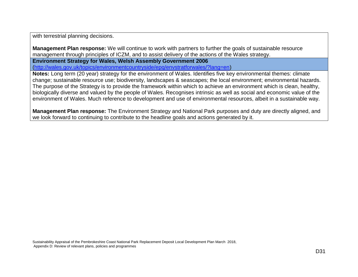with terrestrial planning decisions.

**Management Plan response:** We will continue to work with partners to further the goals of sustainable resource management through principles of ICZM, and to assist delivery of the actions of the Wales strategy.

**Environment Strategy for Wales, Welsh Assembly Government 2006** 

[\(http://wales.gov.uk/topics/environmentcountryside/epq/envstratforwales/?lang=en\)](http://wales.gov.uk/topics/environmentcountryside/epq/envstratforwales/?lang=en)

**Notes:** Long term (20 year) strategy for the environment of Wales. Identifies five key environmental themes: climate change; sustainable resource use; biodiversity, landscapes & seascapes; the local environment; environmental hazards. The purpose of the Strategy is to provide the framework within which to achieve an environment which is clean, healthy, biologically diverse and valued by the people of Wales. Recognises intrinsic as well as social and economic value of the environment of Wales. Much reference to development and use of environmental resources, albeit in a sustainable way.

**Management Plan response:** The Environment Strategy and National Park purposes and duty are directly aligned, and we look forward to continuing to contribute to the headline goals and actions generated by it.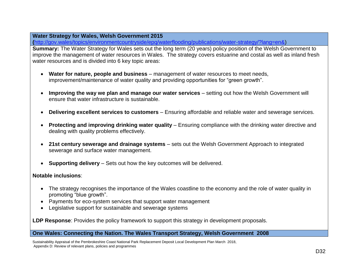#### **Water Strategy for Wales, Welsh Government 2015**

**(**[http://gov.wales/topics/environmentcountryside/epq/waterflooding/publications/water-strategy/?lang=en&\)](http://gov.wales/topics/environmentcountryside/epq/waterflooding/publications/water-strategy/?lang=en&)

**Summary:** The Water Strategy for Wales sets out the long term (20 years) policy position of the Welsh Government to improve the management of water resources in Wales. The strategy covers estuarine and costal as well as inland fresh water resources and is divided into 6 key topic areas:

- **Water for nature, people and business** management of water resources to meet needs, improvement/maintenance of water quality and providing opportunities for "green growth".
- **Improving the way we plan and manage our water services** setting out how the Welsh Government will ensure that water infrastructure is sustainable.
- **Delivering excellent services to customers** Ensuring affordable and reliable water and sewerage services.
- **Protecting and improving drinking water quality** Ensuring compliance with the drinking water directive and dealing with quality problems effectively.
- **21st century sewerage and drainage systems** sets out the Welsh Government Approach to integrated sewerage and surface water management.
- **Supporting delivery** Sets out how the key outcomes will be delivered.

#### **Notable inclusions**:

- The strategy recognises the importance of the Wales coastline to the economy and the role of water quality in promoting "blue growth".
- Payments for eco-system services that support water management
- Legislative support for sustainable and sewerage systems

**LDP Response**: Provides the policy framework to support this strategy in development proposals.

#### **One Wales: Connecting the Nation. The Wales Transport Strategy, Welsh Government 2008**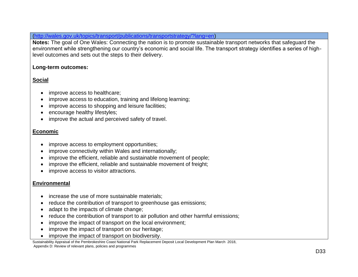[\(http://wales.gov.uk/topics/transport/publications/transportstrategy/?lang=en\)](http://wales.gov.uk/topics/transport/publications/transportstrategy/?lang=en)

**Notes:** The goal of One Wales: Connecting the nation is to promote sustainable transport networks that safeguard the environment while strengthening our country's economic and social life. The transport strategy identifies a series of highlevel outcomes and sets out the steps to their delivery.

#### **Long-term outcomes:**

## **Social**

- improve access to healthcare;
- improve access to education, training and lifelong learning;
- improve access to shopping and leisure facilities;
- encourage healthy lifestyles;
- improve the actual and perceived safety of travel.

## **Economic**

- improve access to employment opportunities;
- improve connectivity within Wales and internationally;
- improve the efficient, reliable and sustainable movement of people;
- improve the efficient, reliable and sustainable movement of freight;
- improve access to visitor attractions.

## **Environmental**

- increase the use of more sustainable materials:
- reduce the contribution of transport to greenhouse gas emissions;
- adapt to the impacts of climate change;
- reduce the contribution of transport to air pollution and other harmful emissions;
- improve the impact of transport on the local environment;
- improve the impact of transport on our heritage;
- improve the impact of transport on biodiversity.

Sustainability Appraisal of the Pembrokeshire Coast National Park Replacement Deposit Local Development Plan March 2018, Appendix D: Review of relevant plans, policies and programmes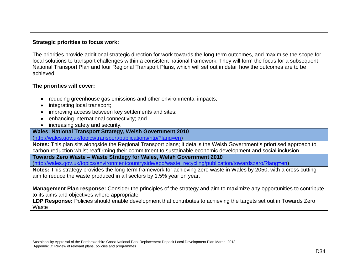## **Strategic priorities to focus work:**

The priorities provide additional strategic direction for work towards the long-term outcomes, and maximise the scope for local solutions to transport challenges within a consistent national framework. They will form the focus for a subsequent National Transport Plan and four Regional Transport Plans, which will set out in detail how the outcomes are to be achieved.

## **The priorities will cover:**

- reducing greenhouse gas emissions and other environmental impacts;
- integrating local transport;
- improving access between key settlements and sites;
- enhancing international connectivity; and
- increasing safety and security.

#### **Wales: National Transport Strategy, Welsh Government 2010**

[\(http://wales.gov.uk/topics/transport/publications/ntp/?lang=en\)](http://wales.gov.uk/topics/transport/publications/ntp/?lang=en)

**Notes:** This plan sits alongside the Regional Transport plans; it details the Welsh Government's priortised approach to carbon reduction whilst reaffirming their commitment to sustainable economic development and social inclusion.

**Towards Zero Waste – Waste Strategy for Wales, Welsh Government 2010**

[\(http://wales.gov.uk/topics/environmentcountryside/epq/waste\\_recycling/publication/towardszero/?lang=en\)](http://wales.gov.uk/topics/environmentcountryside/epq/waste_recycling/publication/towardszero/?lang=en)

**Notes:** This strategy provides the long-term framework for achieving zero waste in Wales by 2050, with a cross cutting aim to reduce the waste produced in all sectors by 1.5% year on year.

**Management Plan response:** Consider the principles of the strategy and aim to maximize any opportunities to contribute to its aims and objectives where appropriate.

**LDP Response:** Policies should enable development that contributes to achieving the targets set out in Towards Zero **Waste** 

Sustainability Appraisal of the Pembrokeshire Coast National Park Replacement Deposit Local Development Plan March 2018, Appendix D: Review of relevant plans, policies and programmes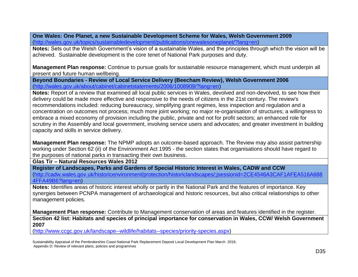**One Wales: One Planet, a new Sustainable Development Scheme for Wales, Welsh Government 2009** [\(http://wales.gov.uk/topics/sustainabledevelopment/publications/onewalesoneplanet/?lang=en\)](http://wales.gov.uk/topics/sustainabledevelopment/publications/onewalesoneplanet/?lang=en)

**Notes:** Sets out the Welsh Government's vision of a sustainable Wales, and the principles through which the vision will be achieved. Sustainable development is the core tenet of National Park purposes and duty.

**Management Plan response:** Continue to pursue goals for sustainable resource management, which must underpin all present and future human wellbeing.

**Beyond Boundaries - Review of Local Service Delivery (Beecham Review), Welsh Government 2006** [\(http://wales.gov.uk/about/cabinet/cabinetstatements/2006/1008909/?lang=en\)](http://wales.gov.uk/about/cabinet/cabinetstatements/2006/1008909/?lang=en)

**Notes:** Report of a review that examined all local public services in Wales, devolved and non-devolved, to see how their delivery could be made more effective and responsive to the needs of citizens in the 21st century. The review's recommendations included: reducing bureaucracy, simplifying grant regimes, less inspection and regulation and a concentration on outcomes not process; much more joint working; no major re-organisation of structures; a willingness to embrace a mixed economy of provision including the public, private and not for profit sectors; an enhanced role for scrutiny in the Assembly and local government, involving service users and advocates; and greater investment in building capacity and skills in service delivery.

**Management Plan response:** The NPMP adopts an outcome-based approach. The Review may also assist partnership working under Section 62 (ii) of the Environment Act 1995 - the section states that organisations should have regard to the purposes of national parks in transacting their own business.

**Glas Tir – Natural Resources Wales 2012** 

**Register of Landscapes, Parks and Gardens of Special Historic Interest in Wales, CADW and CCW** [\(http://cadw.wales.gov.uk/historicenvironment/protection/historiclandscapes/;jsessionid=2CE4546A3CAF1AFEA516A688](http://cadw.wales.gov.uk/historicenvironment/protection/historiclandscapes/;jsessionid=2CE4546A3CAF1AFEA516A6884FFA49B6?lang=en) [4FFA49B6?lang=en\)](http://cadw.wales.gov.uk/historicenvironment/protection/historiclandscapes/;jsessionid=2CE4546A3CAF1AFEA516A6884FFA49B6?lang=en)

**Notes:** Identifies areas of historic interest wholly or partly in the National Park and the features of importance. Key synergies between PCNPA management of archaeological and historic resources, but also critical relationships to other management policies.

**Management Plan response:** Contribute to Management conservation of areas and features identified in the register. **Section 42 list: Habitats and species of principal importance for conservation in Wales, CCW/ Welsh Government 2007**

[\(http://www.ccgc.gov.uk/landscape--wildlife/habitats--species/priority-species.aspx\)](http://www.ccgc.gov.uk/landscape--wildlife/habitats--species/priority-species.aspx)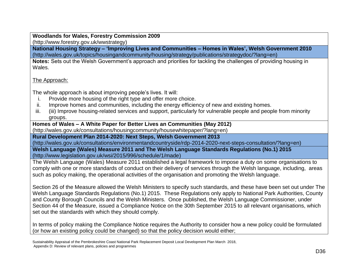#### **Woodlands for Wales, Forestry Commission 2009** (http://www.forestry.gov.uk/wwstrategy)

**National Housing Strategy – 'Improving Lives and Communities – Homes in Wales', Welsh Government 2010** (http://wales.gov.uk/topics/housingandcommunity/housing/strategy/publications/strategydoc/?lang=en)

**Notes:** Sets out the Welsh Government's approach and priorities for tackling the challenges of providing housing in Wales.

## The Approach:

The whole approach is about improving people's lives. It will:

- i. Provide more housing of the right type and offer more choice.
- ii. Improve homes and communities, including the energy efficiency of new and existing homes.
- iii. (iii) Improve housing-related services and support, particularly for vulnerable people and people from minority groups.

#### **Homes of Wales – A White Paper for Better Lives an Communities (May 2012)**

(http://wales.gov.uk/consultations/housingcommunity/housewhitepaper/?lang=en)

**Rural Development Plan 2014-2020: Next Steps, Welsh Government 2013**

(http://wales.gov.uk/consultations/environmentandcountryside/rdp-2014-2020-next-steps-consultation/?lang=en)

**Welsh Language (Wales) Measure 2011 and The Welsh Language Standards Regulations (No.1) 2015** [\(http://www.legislation.gov.uk/wsi/2015/996/schedule/1/made\)](http://www.legislation.gov.uk/wsi/2015/996/schedule/1/made)

The Welsh Language (Wales) Measure 2011 established a legal framework to impose a duty on some organisations to comply with one or more standards of conduct on their delivery of services through the Welsh language, including, areas such as policy making, the operational activities of the organisation and promoting the Welsh language.

Section 26 of the Measure allowed the Welsh Ministers to specify such standards, and these have been set out under The Welsh Language Standards Regulations (No.1) 2015. These Regulations only apply to National Park Authorities, County and County Borough Councils and the Welsh Ministers. Once published, the Welsh Language Commissioner, under Section 44 of the Measure, issued a Compliance Notice on the 30th September 2015 to all relevant organisations, which set out the standards with which they should comply.

In terms of policy making the Compliance Notice requires the Authority to consider how a new policy could be formulated (or how an existing policy could be changed) so that the policy decision would either;

Sustainability Appraisal of the Pembrokeshire Coast National Park Replacement Deposit Local Development Plan March 2018, Appendix D: Review of relevant plans, policies and programmes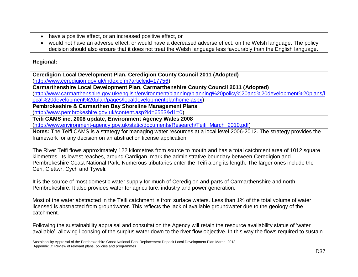- have a positive effect, or an increased positive effect, or
- would not have an adverse effect, or would have a decreased adverse effect, on the Welsh language. The policy decision should also ensure that it does not treat the Welsh language less favourably than the English language.

## **Regional:**

**Ceredigion Local Development Plan, Ceredigion County Council 2011 (Adopted)**

[\(http://www.ceredigion.gov.uk/index.cfm?articleid=17756\)](http://www.ceredigion.gov.uk/index.cfm?articleid=17756)

**Carmarthenshire Local Development Plan, Carmarthenshire County Council 2011 (Adopted)**

[\(http://www.carmarthenshire.gov.uk/english/environment/planning/planning%20policy%20and%20development%20plans/l](http://www.carmarthenshire.gov.uk/english/environment/planning/planning%20policy%20and%20development%20plans/local%20development%20plan/pages/localdevelopmentplanhome.aspx) [ocal%20development%20plan/pages/localdevelopmentplanhome.aspx\)](http://www.carmarthenshire.gov.uk/english/environment/planning/planning%20policy%20and%20development%20plans/local%20development%20plan/pages/localdevelopmentplanhome.aspx)

**Pembrokeshire & Carmarthen Bay Shoreline Management Plans**

[\(http://www.pembrokeshire.gov.uk/content.asp?id=6553&d1=0\)](http://www.pembrokeshire.gov.uk/content.asp?id=6553&d1=0)

**Teifi CAMS inc. 2008 update, Environment Agency Wales 2008**

[\(http://www.environment-agency.gov.uk/static/documents/Research/Teifi\\_March\\_2010.pdf\)](http://www.environment-agency.gov.uk/static/documents/Research/Teifi_March_2010.pdf)

**Notes:** The Teifi CAMS is a strategy for managing water resources at a local level 2006-2012. The strategy provides the framework for any decision on an abstraction license application.

The River Teifi flows approximately 122 kilometres from source to mouth and has a total catchment area of 1012 square kilometres. Its lowest reaches, around Cardigan, mark the administrative boundary between Ceredigion and Pembrokeshire Coast National Park. Numerous tributaries enter the Teifi along its length. The larger ones include the Ceri, Clettwr, Cych and Tyweli.

It is the source of most domestic water supply for much of Ceredigion and parts of Carmarthenshire and north Pembrokeshire. It also provides water for agriculture, industry and power generation.

Most of the water abstracted in the Teifi catchment is from surface waters. Less than 1% of the total volume of water licensed is abstracted from groundwater. This reflects the lack of available groundwater due to the geology of the catchment.

Following the sustainability appraisal and consultation the Agency will retain the resource availability status of 'water available', allowing licensing of the surplus water down to the river flow objective. In this way the flows required to sustain

Sustainability Appraisal of the Pembrokeshire Coast National Park Replacement Deposit Local Development Plan March 2018, Appendix D: Review of relevant plans, policies and programmes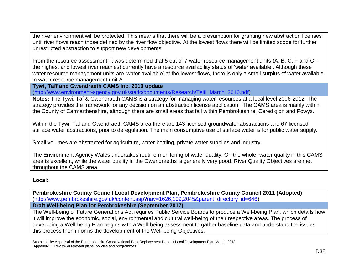the river environment will be protected. This means that there will be a presumption for granting new abstraction licenses until river flows reach those defined by the river flow objective. At the lowest flows there will be limited scope for further unrestricted abstraction to support new developments.

From the resource assessment, it was determined that 5 out of 7 water resource management units (A, B, C, F and G – the highest and lowest river reaches) currently have a resource availability status of 'water available'. Although these water resource management units are 'water available' at the lowest flows, there is only a small surplus of water available in water resource management unit A.

**Tywi, Taff and Gwendraeth CAMS inc. 2010 update**

[\(http://www.environment-agency.gov.uk/static/documents/Research/Teifi\\_March\\_2010.pdf\)](http://www.environment-agency.gov.uk/static/documents/Research/Teifi_March_2010.pdf)

**Notes:** The Tywi, Taf & Gwendraeth CAMS is a strategy for managing water resources at a local level 2006-2012. The strategy provides the framework for any decision on an abstraction license application. The CAMS area is mainly within the County of Carmarthenshire, although there are small areas that fall within Pembrokeshire, Ceredigion and Powys.

Within the Tywi, Taf and Gwendraeth CAMS area there are 143 licensed groundwater abstractions and 67 licensed surface water abstractions, prior to deregulation. The main consumptive use of surface water is for public water supply.

Small volumes are abstracted for agriculture, water bottling, private water supplies and industry.

The Environment Agency Wales undertakes routine monitoring of water quality. On the whole, water quality in this CAMS area is excellent, while the water quality in the Gwendraeths is generally very good. River Quality Objectives are met throughout the CAMS area.

#### **Local:**

**Pembrokeshire County Council Local Development Plan, Pembrokeshire County Council 2011 (Adopted)**  [\(http://www.pembrokeshire.gov.uk/content.asp?nav=1626,109,2045&parent\\_directory\\_id=646\)](http://www.pembrokeshire.gov.uk/content.asp?nav=1626,109,2045&parent_directory_id=646)

**Draft Well-being Plan for Pembrokeshire (September 2017)**

The Well-being of Future Generations Act requires Public Service Boards to produce a Well-being Plan, which details how it will improve the economic, social, environmental and cultural well-being of their respective areas. The process of developing a Well-being Plan begins with a Well-being assessment to gather baseline data and understand the issues, this process then informs the development of the Well-being Objectives.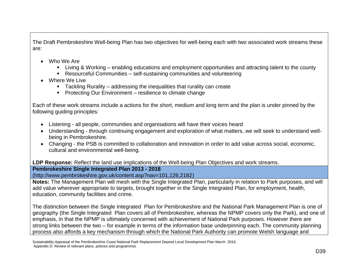The Draft Pembrokeshire Well-being Plan has two objectives for well-being each with two associated work streams these are:

- Who We Are
	- Living & Working enabling educations and employment opportunities and attracting talent to the county
	- Resourceful Communities self-sustaining communities and volunteering
- Where We Live
	- **Tackling Rurality addressing the inequalities that rurality can create**
	- **Protecting Our Environment resilience to climate change**

Each of these work streams include a actions for the short, medium and long term and the plan is under pinned by the following guiding principles:

- Listening all people, communities and organisations will have their voices heard
- Understanding through continuing engagement and exploration of what matters, we will seek to understand wellbeing in Pembrokeshire.
- Changing the PSB is committed to collaboration and innovation in order to add value across social, economic, cultural and environmental well-being.

**LDP Response:** Reflect the land use implications of the Well-being Plan Objectives and work streams.

**Pembrokeshire Single Integrated Plan 2013 - 2018**

(http://www.pembrokeshire.gov.uk/content.asp?nav=101,126,2182)

**Notes:** The Management Plan will mesh with the Single Integrated Plan, particularly in relation to Park purposes, and will add value wherever appropriate to targets, brought together in the Single Integrated Plan, for employment, health, education, community facilities and crime.

The distinction between the Single Integrated Plan for Pembrokeshire and the National Park Management Plan is one of geography (the Single Integrated Plan covers all of Pembrokeshire, whereas the NPMP covers only the Park), and one of emphasis, in that the NPMP is ultimately concerned with achievement of National Park purposes. However there are strong links between the two – for example in terms of the information base underpinning each. The community planning process also affords a key mechanism through which the National Park Authority can promote Welsh language and

Sustainability Appraisal of the Pembrokeshire Coast National Park Replacement Deposit Local Development Plan March 2018,

Appendix D: Review of relevant plans, policies and programmes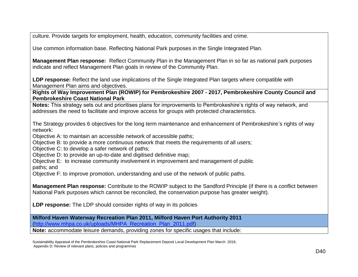culture. Provide targets for employment, health, education, community facilities and crime.

Use common information base. Reflecting National Park purposes in the Single Integrated Plan.

**Management Plan response:** Reflect Community Plan in the Management Plan in so far as national park purposes indicate and reflect Management Plan goals in review of the Community Plan.

**LDP response:** Reflect the land use implications of the Single Integrated Plan targets where compatible with Management Plan aims and objectives.

**Rights of Way Improvement Plan (ROWIP) for Pembrokeshire 2007 - 2017, Pembrokeshire County Council and Pembrokeshire Coast National Park**

**Notes:** This strategy sets out and prioritises plans for improvements to Pembrokeshire's rights of way network, and addresses the need to facilitate and improve access for groups with protected characteristics.

The Strategy provides 6 objectives for the long term maintenance and enhancement of Pembrokeshire's rights of way network:

Objective A: to maintain an accessible network of accessible paths;

Objective B: to provide a more continuous network that meets the requirements of all users;

Objective C: to develop a safer network of paths;

Objective D: to provide an up-to-date and digitised definitive map;

Objective E: to increase community involvement in improvement and management of public

paths; and

Objective F: to improve promotion, understanding and use of the network of public paths.

**Management Plan response:** Contribute to the ROWIP subject to the Sandford Principle (if there is a conflict between National Park purposes which cannot be reconciled, the conservation purpose has greater weight).

**LDP response:** The LDP should consider rights of way in its policies

**Milford Haven Waterway Recreation Plan 2011, Milford Haven Port Authority 2011** [\(http://www.mhpa.co.uk/uploads/MHPA\\_Recreation\\_Plan\\_2011.pdf\)](http://www.mhpa.co.uk/uploads/MHPA_Recreation_Plan_2011.pdf)

**Note:** accommodate leisure demands, providing zones for specific usages that include: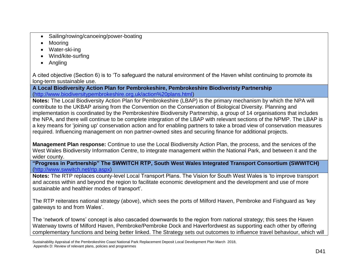- Sailing/rowing/canoeing/power-boating
- Mooring
- Water-ski-ing
- Wind/kite-surfing
- Angling

A cited objective (Section 6) is to 'To safeguard the natural environment of the Haven whilst continuing to promote its long-term sustainable use.

**A Local Biodiversity Action Plan for Pembrokeshire, Pembrokeshire Biodiveristy Partnership**  [\(http://www.biodiversitypembrokeshire.org.uk/action%20plans.html\)](http://www.biodiversitypembrokeshire.org.uk/action%20plans.html)

**Notes:** The Local Biodiversity Action Plan for Pembrokeshire (LBAP) is the primary mechanism by which the NPA will contribute to the UKBAP arising from the Convention on the Conservation of Biological Diversity. Planning and implementation is coordinated by the Pembrokeshire Biodiversity Partnership, a group of 14 organisations that includes the NPA, and there will continue to be complete integration of the LBAP with relevant sections of the NPMP. The LBAP is a key means for 'joining up' conservation action and for enabling partners to take a broad view of conservation measures required. Influencing management on non partner-owned sites and securing finance for additional projects.

**Management Plan response:** Continue to use the Local Biodiversity Action Plan, the process, and the services of the West Wales Biodiversity Information Centre, to integrate management within the National Park, and between it and the wider county.

**"Progress in Partnership" The SWWITCH RTP, South West Wales Integrated Transport Consortium (SWWITCH)** [\(http://www.swwitch.net/rtp.aspx\)](http://www.swwitch.net/rtp.aspx)

**Notes:** The RTP replaces county-level Local Transport Plans. The Vision for South West Wales is 'to improve transport and access within and beyond the region to facilitate economic development and the development and use of more sustainable and healthier modes of transport'.

The RTP reiterates national strategy (above), which sees the ports of Milford Haven, Pembroke and Fishguard as 'key gateways to and from Wales'.

The 'network of towns' concept is also cascaded downwards to the region from national strategy; this sees the Haven Waterway towns of Milford Haven, Pembroke/Pembroke Dock and Haverfordwest as supporting each other by offering complementary functions and being better linked. The Strategy sets out outcomes to influence travel behaviour, which will

Sustainability Appraisal of the Pembrokeshire Coast National Park Replacement Deposit Local Development Plan March 2018, Appendix D: Review of relevant plans, policies and programmes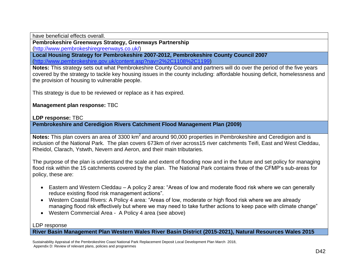have beneficial effects overall.

**Pembrokeshire Greenways Strategy, Greenways Partnership**

[\(http://www.pembrokeshiregreenways.co.uk/\)](http://www.pembrokeshiregreenways.co.uk/)

**Local Housing Strategy for Pembrokeshire 2007-2012, Pembrokeshire County Council 2007**  [\(http://www.pembrokeshire.gov.uk/content.asp?nav=2%2C1108%2C1199\)](http://www.pembrokeshire.gov.uk/content.asp?nav=2%2C1108%2C1199)

**Notes:** This strategy sets out what Pembrokeshire County Council and partners will do over the period of the five years covered by the strategy to tackle key housing issues in the county including: affordable housing deficit, homelessness and the provision of housing to vulnerable people.

This strategy is due to be reviewed or replace as it has expired.

**Management plan response:** TBC

**LDP response:** TBC

**Pembrokeshire and Ceredigion Rivers Catchment Flood Management Plan (2009)**

Notes: This plan covers an area of 3300 km<sup>2</sup> and around 90,000 properties in Pembrokeshire and Ceredigion and is inclusion of the National Park. The plan covers 673km of river across15 river catchments Teifi, East and West Cleddau, Rheidol, Clarach, Ystwth, Nevern and Aeron, and their main tributaries.

The purpose of the plan is understand the scale and extent of flooding now and in the future and set policy for managing flood risk within the 15 catchments covered by the plan. The National Park contains three of the CFMP's sub-areas for policy, these are:

- Eastern and Western Cleddau A policy 2 area: "Areas of low and moderate flood risk where we can generally reduce existing flood risk management actions".
- Western Coastal Rivers: A Policy 4 area: "Areas of low, moderate or high flood risk where we are already managing flood risk effectively but where we may need to take further actions to keep pace with climate change"
- Western Commercial Area A Policy 4 area (see above)

#### LDP response

**River Basin Management Plan Western Wales River Basin District (2015-2021), Natural Resources Wales 2015**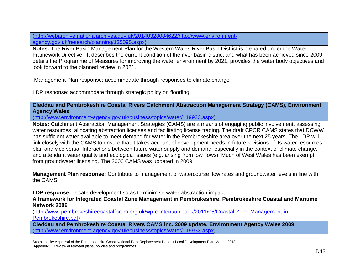[\(http://webarchive.nationalarchives.gov.uk/20140328084622/http://www.environment](http://webarchive.nationalarchives.gov.uk/20140328084622/http:/www.environment-agency.gov.uk/research/planning/125095.aspx)[agency.gov.uk/research/planning/125095.aspx\)](http://webarchive.nationalarchives.gov.uk/20140328084622/http:/www.environment-agency.gov.uk/research/planning/125095.aspx)

**Notes:** The River Basin Management Plan for the Western Wales River Basin District is prepared under the Water Framework Directive. It describes the current condition of the river basin district and what has been achieved since 2009; details the Programme of Measures for improving the water environment by 2021, provides the water body objectives and look forward to the planned review in 2021.

Management Plan response: accommodate through responses to climate change

LDP response: accommodate through strategic policy on flooding

**Cleddau and Pembrokeshire Coastal Rivers Catchment Abstraction Management Strategy (CAMS), Environment Agency Wales** 

[\(http://www.environment-agency.gov.uk/business/topics/water/119933.aspx\)](http://www.environment-agency.gov.uk/business/topics/water/119933.aspx)

**Notes:** Catchment Abstraction Management Strategies (CAMS) are a means of engaging public involvement, assessing water resources, allocating abstraction licenses and facilitating license trading. The draft CPCR CAMS states that DCWW has sufficient water available to meet demand for water in the Pembrokeshire area over the next 25 years. The LDP will link closely with the CAMS to ensure that it takes account of development needs in future revisions of its water resources plan and vice versa. Interactions between future water supply and demand, especially in the context of climate change, and attendant water quality and ecological issues (e.g. arising from low flows). Much of West Wales has been exempt from groundwater licensing. The 2006 CAMS was updated in 2009.

**Management Plan response:** Contribute to management of watercourse flow rates and groundwater levels in line with the CAMS.

LDP response: Locate development so as to minimise water abstraction impact.

**A framework for Integrated Coastal Zone Management in Pembrokeshire, Pembrokeshire Coastal and Maritime Network 2006** 

[\(http://www.pembrokeshirecoastalforum.org.uk/wp-content/uploads/2011/05/Coastal-Zone-Management-in-](http://www.pembrokeshirecoastalforum.org.uk/wp-content/uploads/2011/05/Coastal-Zone-Management-in-Pembrokeshire.pdf)[Pembrokeshire.pdf\)](http://www.pembrokeshirecoastalforum.org.uk/wp-content/uploads/2011/05/Coastal-Zone-Management-in-Pembrokeshire.pdf)

**Cleddau and Pembrokeshire Coastal Rivers CAMS inc. 2009 update, Environment Agency Wales 2009** [\(http://www.environment-agency.gov.uk/business/topics/water/119933.aspx\)](http://www.environment-agency.gov.uk/business/topics/water/119933.aspx)